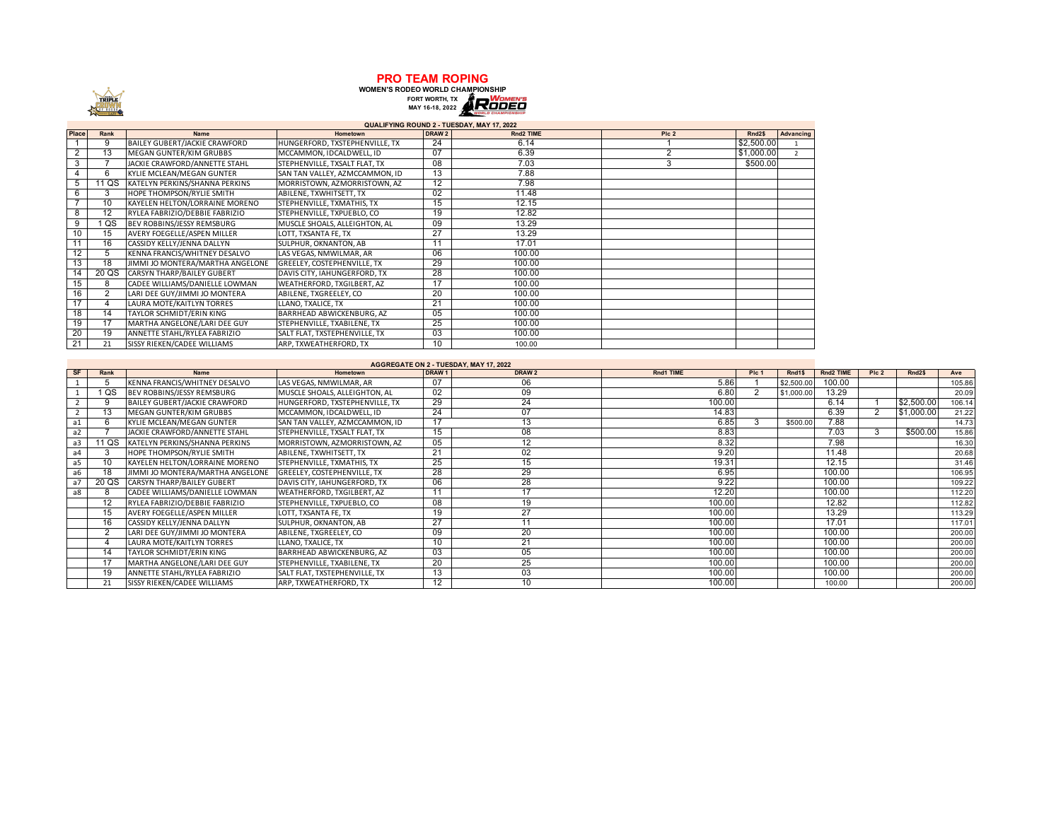

**PRO TEAM ROPING**<br>
WOMEN'S RODEO WORLD CHAMPIONSHIP<br>
FORT WORTH, TX<br>
MAY 16-18, 2022

|       | QUALIFYING ROUND 2 - TUESDAY, MAY 17, 2022 |                                  |                                |                   |           |                  |                    |                |  |  |  |  |
|-------|--------------------------------------------|----------------------------------|--------------------------------|-------------------|-----------|------------------|--------------------|----------------|--|--|--|--|
| Place | Rank                                       | <b>Name</b>                      | Hometown                       | DRAW <sub>2</sub> | Rnd2 TIME | PIc <sub>2</sub> | Rnd <sub>2\$</sub> | Advancing      |  |  |  |  |
|       | 9                                          | BAILEY GUBERT/JACKIE CRAWFORD    | HUNGERFORD, TXSTEPHENVILLE, TX | 24                | 6.14      |                  | \$2,500.00         |                |  |  |  |  |
| 2     | 13                                         | MEGAN GUNTER/KIM GRUBBS          | MCCAMMON. IDCALDWELL. ID       | 07                | 6.39      | ◠                | \$1,000.00         | $\overline{2}$ |  |  |  |  |
| 3     |                                            | JACKIE CRAWFORD/ANNETTE STAHL    | STEPHENVILLE, TXSALT FLAT, TX  | 08                | 7.03      | 3                | \$500.00           |                |  |  |  |  |
|       | 6                                          | KYLIE MCLEAN/MEGAN GUNTER        | SAN TAN VALLEY, AZMCCAMMON, ID | 13                | 7.88      |                  |                    |                |  |  |  |  |
| 5     | 11 QS                                      | KATELYN PERKINS/SHANNA PERKINS   | MORRISTOWN, AZMORRISTOWN, AZ   | 12                | 7.98      |                  |                    |                |  |  |  |  |
| 6     | 3                                          | HOPE THOMPSON/RYLIE SMITH        | ABILENE, TXWHITSETT, TX        | 02                | 11.48     |                  |                    |                |  |  |  |  |
|       | 10                                         | KAYELEN HELTON/LORRAINE MORENO   | STEPHENVILLE, TXMATHIS, TX     | 15                | 12.15     |                  |                    |                |  |  |  |  |
| 8     | 12                                         | RYLEA FABRIZIO/DEBBIE FABRIZIO   | STEPHENVILLE, TXPUEBLO, CO     | 19                | 12.82     |                  |                    |                |  |  |  |  |
| 9     | QS                                         | BEV ROBBINS/JESSY REMSBURG       | MUSCLE SHOALS, ALLEIGHTON, AL  | 09                | 13.29     |                  |                    |                |  |  |  |  |
| 10    | 15                                         | AVERY FOEGELLE/ASPEN MILLER      | LOTT, TXSANTA FE, TX           | 27                | 13.29     |                  |                    |                |  |  |  |  |
| 11    | 16                                         | CASSIDY KELLY/JENNA DALLYN       | SULPHUR, OKNANTON, AB          | 11                | 17.01     |                  |                    |                |  |  |  |  |
| 12    | 5                                          | KENNA FRANCIS/WHITNEY DESALVO    | LAS VEGAS, NMWILMAR, AR        | 06                | 100.00    |                  |                    |                |  |  |  |  |
| 13    | 18                                         | JIMMI JO MONTERA/MARTHA ANGELONE | GREELEY, COSTEPHENVILLE, TX    | 29                | 100.00    |                  |                    |                |  |  |  |  |
| 14    | 20 QS                                      | CARSYN THARP/BAILEY GUBERT       | DAVIS CITY, IAHUNGERFORD, TX   | 28                | 100.00    |                  |                    |                |  |  |  |  |
| 15    | 8                                          | CADEE WILLIAMS/DANIELLE LOWMAN   | WEATHERFORD, TXGILBERT, AZ     | 17                | 100.00    |                  |                    |                |  |  |  |  |
| 16    | 2                                          | LARI DEE GUY/JIMMI JO MONTERA    | ABILENE, TXGREELEY, CO         | 20                | 100.00    |                  |                    |                |  |  |  |  |
| 17    | 4                                          | LAURA MOTE/KAITLYN TORRES        | LLANO, TXALICE, TX             | 21                | 100.00    |                  |                    |                |  |  |  |  |
| 18    | 14                                         | TAYLOR SCHMIDT/ERIN KING         | BARRHEAD ABWICKENBURG, AZ      | 05                | 100.00    |                  |                    |                |  |  |  |  |
| 19    | 17                                         | MARTHA ANGELONE/LARI DEE GUY     | STEPHENVILLE, TXABILENE, TX    | 25                | 100.00    |                  |                    |                |  |  |  |  |
| 20    | 19                                         | ANNETTE STAHL/RYLEA FABRIZIO     | SALT FLAT, TXSTEPHENVILLE, TX  | 03                | 100.00    |                  |                    |                |  |  |  |  |
| 21    | 21                                         | SISSY RIEKEN/CADEE WILLIAMS      | ARP, TXWEATHERFORD, TX         | 10                | 100.00    |                  |                    |                |  |  |  |  |

## **AGGREGATE ON 2 - TUESDAY, MAY 17, 2022**

| <b>SF</b>      | Rank  | <b>Name</b>                      | Hometown                       | DRAW <sub>1</sub> | DRAW 2         | Rnd1 TIME | PIc <sub>1</sub> | Rnd1\$     | Rnd2 TIME | Pic <sub>2</sub> | Rnd <sub>2\$</sub> | Ave    |
|----------------|-------|----------------------------------|--------------------------------|-------------------|----------------|-----------|------------------|------------|-----------|------------------|--------------------|--------|
|                |       | KENNA FRANCIS/WHITNEY DESALVO    | LAS VEGAS, NMWILMAR, AR        | 07                | 06             | 5.86      |                  | \$2,500.0  | 100.00    |                  |                    | 105.86 |
|                | QS    | BEV ROBBINS/JESSY REMSBURG       | MUSCLE SHOALS, ALLEIGHTON, AL  | 02                | 09             | 6.80      |                  | \$1,000.00 | 13.29     |                  |                    | 20.09  |
|                |       | BAILEY GUBERT/JACKIE CRAWFORD    | HUNGERFORD, TXSTEPHENVILLE, TX | 29                | 24             | 100.00    |                  |            | 6.14      |                  | \$2,500.00         | 106.14 |
|                | 13    | MEGAN GUNTER/KIM GRUBBS          | MCCAMMON, IDCALDWELL, ID       | 24                | 07             | 14.83     |                  |            | 6.39      |                  | \$1,000.00         | 21.22  |
| a1             |       | KYLIE MCLEAN/MEGAN GUNTER        | SAN TAN VALLEY, AZMCCAMMON, ID | 17                | 13             | 6.85      |                  | \$500.00   | 7.88      |                  |                    | 14.73  |
| a2             |       | JACKIE CRAWFORD/ANNETTE STAHL    | STEPHENVILLE, TXSALT FLAT, TX  | 15                | 08             | 8.83      |                  |            | 7.03      |                  | \$500.00           | 15.86  |
| a3             | 11 QS | KATELYN PERKINS/SHANNA PERKINS   | MORRISTOWN, AZMORRISTOWN, AZ   | 05                | 12             | 8.32      |                  |            | 7.98      |                  |                    | 16.30  |
| a <sub>4</sub> |       | HOPE THOMPSON/RYLIE SMITH        | ABILENE, TXWHITSETT, TX        | 21                | 02             | 9.20      |                  |            | 11.48     |                  |                    | 20.68  |
| a5             | 10    | KAYELEN HELTON/LORRAINE MORENO   | STEPHENVILLE, TXMATHIS, TX     | 25                | 15             | 19.31     |                  |            | 12.15     |                  |                    | 31.46  |
| a6             | 18    | JIMMI JO MONTERA/MARTHA ANGELONE | GREELEY, COSTEPHENVILLE, TX    | 28                | 29             | 6.95      |                  |            | 100.00    |                  |                    | 106.95 |
| a <sup>7</sup> | 20 QS | CARSYN THARP/BAILEY GUBERT       | DAVIS CITY, IAHUNGERFORD, TX   | 06                | 28             | 9.22      |                  |            | 100.00    |                  |                    | 109.22 |
| a8             |       | CADEE WILLIAMS/DANIELLE LOWMAN   | WEATHERFORD, TXGILBERT, AZ     | 11                | 47             | 12.20     |                  |            | 100.00    |                  |                    | 112.20 |
|                | 12    | RYLEA FABRIZIO/DEBBIE FABRIZIO   | STEPHENVILLE, TXPUEBLO, CO     | 08                | 19             | 100.00    |                  |            | 12.82     |                  |                    | 112.82 |
|                | 15    | AVERY FOEGELLE/ASPEN MILLER      | LOTT, TXSANTA FE, TX           | 19                | 27             | 100.00    |                  |            | 13.29     |                  |                    | 113.29 |
|                | 16    | CASSIDY KELLY/JENNA DALLYN       | SULPHUR, OKNANTON, AB          | 27                | $\overline{A}$ | 100.00    |                  |            | 17.0'     |                  |                    | 117.01 |
|                |       | LARI DEE GUY/JIMMI JO MONTERA    | ABILENE, TXGREELEY, CO         | 09                | 20             | 100.00    |                  |            | 100.00    |                  |                    | 200.00 |
|                |       | LAURA MOTE/KAITLYN TORRES        | LLANO, TXALICE, TX             | 10                | 21             | 100.00    |                  |            | 100.00    |                  |                    | 200.00 |
|                | 14    | TAYLOR SCHMIDT/ERIN KING         | BARRHEAD ABWICKENBURG, AZ      | 03                | 05             | 100.00    |                  |            | 100.00    |                  |                    | 200.00 |
|                |       | MARTHA ANGELONE/LARI DEE GUY     | STEPHENVILLE, TXABILENE, TX    | 20                | 25             | 100.00    |                  |            | 100.00    |                  |                    | 200.00 |
|                | 19    | ANNETTE STAHL/RYLEA FABRIZIO     | SALT FLAT, TXSTEPHENVILLE, TX  | 13                | 03             | 100.00    |                  |            | 100.00    |                  |                    | 200.00 |
|                | 21    | SISSY RIEKEN/CADEE WILLIAMS      | ARP, TXWEATHERFORD, TX         | 12                | 10             | 100.00    |                  |            | 100.00    |                  |                    | 200.00 |